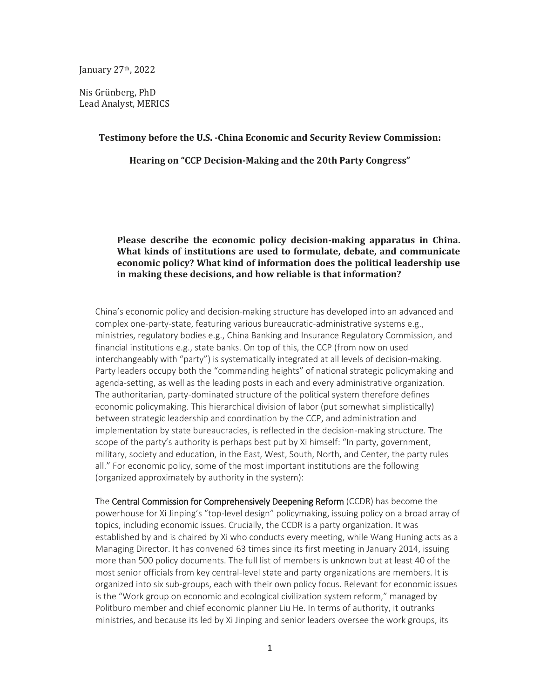January 27th, 2022

Nis Grünberg, PhD Lead Analyst, MERICS

#### **Testimony before the U.S. -China Economic and Security Review Commission:**

**Hearing on "CCP Decision-Making and the 20th Party Congress"**

### **Please describe the economic policy decision-making apparatus in China. What kinds of institutions are used to formulate, debate, and communicate economic policy? What kind of information does the political leadership use in making these decisions, and how reliable is that information?**

China's economic policy and decision-making structure has developed into an advanced and complex one-party-state, featuring various bureaucratic-administrative systems e.g., ministries, regulatory bodies e.g., China Banking and Insurance Regulatory Commission, and financial institutions e.g., state banks. On top of this, the CCP (from now on used interchangeably with "party") is systematically integrated at all levels of decision-making. Party leaders occupy both the "commanding heights" of national strategic policymaking and agenda-setting, as well as the leading posts in each and every administrative organization. The authoritarian, party-dominated structure of the political system therefore defines economic policymaking. This hierarchical division of labor (put somewhat simplistically) between strategic leadership and coordination by the CCP, and administration and implementation by state bureaucracies, is reflected in the decision-making structure. The scope of the party's authority is perhaps best put by Xi himself: "In party, government, military, society and education, in the East, West, South, North, and Center, the party rules all." For economic policy, some of the most important institutions are the following (organized approximately by authority in the system):

The Central Commission for Comprehensively Deepening Reform (CCDR) has become the powerhouse for Xi Jinping's "top-level design" policymaking, issuing policy on a broad array of topics, including economic issues. Crucially, the CCDR is a party organization. It was established by and is chaired by Xi who conducts every meeting, while Wang Huning acts as a Managing Director. It has convened 63 times since its first meeting in January 2014, issuing more than 500 policy documents. The full list of members is unknown but at least 40 of the most senior officials from key central-level state and party organizations are members. It is organized into six sub-groups, each with their own policy focus. Relevant for economic issues is the "Work group on economic and ecological civilization system reform," managed by Politburo member and chief economic planner Liu He. In terms of authority, it outranks ministries, and because its led by Xi Jinping and senior leaders oversee the work groups, its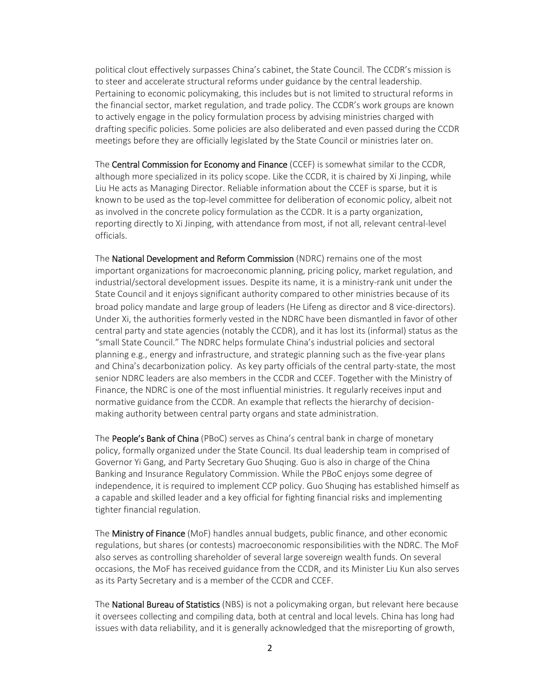political clout effectively surpasses China's cabinet, the State Council. The CCDR's mission is to steer and accelerate structural reforms under guidance by the central leadership. Pertaining to economic policymaking, this includes but is not limited to structural reforms in the financial sector, market regulation, and trade policy. The CCDR's work groups are known to actively engage in the policy formulation process by advising ministries charged with drafting specific policies. Some policies are also deliberated and even passed during the CCDR meetings before they are officially legislated by the State Council or ministries later on.

The Central Commission for Economy and Finance (CCEF) is somewhat similar to the CCDR, although more specialized in its policy scope. Like the CCDR, it is chaired by Xi Jinping, while Liu He acts as Managing Director. Reliable information about the CCEF is sparse, but it is known to be used as the top-level committee for deliberation of economic policy, albeit not as involved in the concrete policy formulation as the CCDR. It is a party organization, reporting directly to Xi Jinping, with attendance from most, if not all, relevant central-level officials.

The National Development and Reform Commission (NDRC) remains one of the most important organizations for macroeconomic planning, pricing policy, market regulation, and industrial/sectoral development issues. Despite its name, it is a ministry-rank unit under the State Council and it enjoys significant authority compared to other ministries because of its broad policy mandate and large group of leaders (He Lifeng as director and 8 vice-directors). Under Xi, the authorities formerly vested in the NDRC have been dismantled in favor of other central party and state agencies (notably the CCDR), and it has lost its (informal) status as the "small State Council." The NDRC helps formulate China's industrial policies and sectoral planning e.g., energy and infrastructure, and strategic planning such as the five-year plans and China's decarbonization policy. As key party officials of the central party-state, the most senior NDRC leaders are also members in the CCDR and CCEF. Together with the Ministry of Finance, the NDRC is one of the most influential ministries. It regularly receives input and normative guidance from the CCDR. An example that reflects the hierarchy of decisionmaking authority between central party organs and state administration.

The People's Bank of China (PBoC) serves as China's central bank in charge of monetary policy, formally organized under the State Council. Its dual leadership team in comprised of Governor Yi Gang, and Party Secretary Guo Shuqing. Guo is also in charge of the China Banking and Insurance Regulatory Commission. While the PBoC enjoys some degree of independence, it is required to implement CCP policy. Guo Shuqing has established himself as a capable and skilled leader and a key official for fighting financial risks and implementing tighter financial regulation.

The Ministry of Finance (MoF) handles annual budgets, public finance, and other economic regulations, but shares (or contests) macroeconomic responsibilities with the NDRC. The MoF also serves as controlling shareholder of several large sovereign wealth funds. On several occasions, the MoF has received guidance from the CCDR, and its Minister Liu Kun also serves as its Party Secretary and is a member of the CCDR and CCEF.

The National Bureau of Statistics (NBS) is not a policymaking organ, but relevant here because it oversees collecting and compiling data, both at central and local levels. China has long had issues with data reliability, and it is generally acknowledged that the misreporting of growth,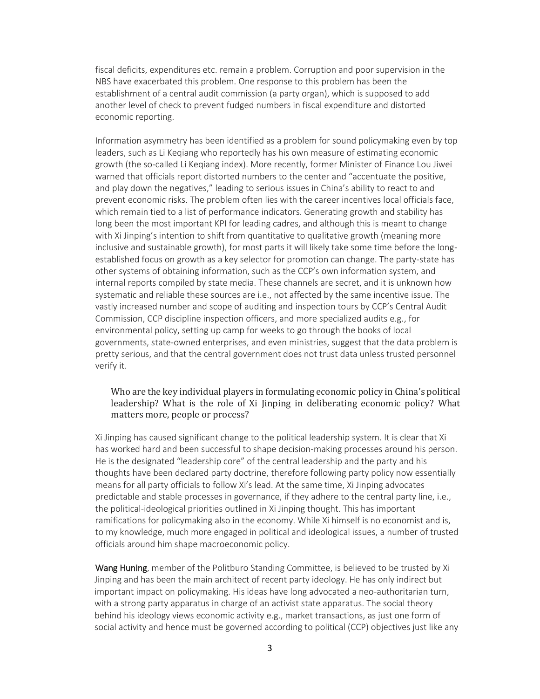fiscal deficits, expenditures etc. remain a problem. Corruption and poor supervision in the NBS have exacerbated this problem. One response to this problem has been the establishment of a central audit commission (a party organ), which is supposed to add another level of check to prevent fudged numbers in fiscal expenditure and distorted economic reporting.

Information asymmetry has been identified as a problem for sound policymaking even by top leaders, such as Li Keqiang who reportedly has his own measure of estimating economic growth (the so-called Li Keqiang index). More recently, former Minister of Finance Lou Jiwei warned that officials report distorted numbers to the center and "accentuate the positive, and play down the negatives," leading to serious issues in China's ability to react to and prevent economic risks. The problem often lies with the career incentives local officials face, which remain tied to a list of performance indicators. Generating growth and stability has long been the most important KPI for leading cadres, and although this is meant to change with Xi Jinping's intention to shift from quantitative to qualitative growth (meaning more inclusive and sustainable growth), for most parts it will likely take some time before the longestablished focus on growth as a key selector for promotion can change. The party-state has other systems of obtaining information, such as the CCP's own information system, and internal reports compiled by state media. These channels are secret, and it is unknown how systematic and reliable these sources are i.e., not affected by the same incentive issue. The vastly increased number and scope of auditing and inspection tours by CCP's Central Audit Commission, CCP discipline inspection officers, and more specialized audits e.g., for environmental policy, setting up camp for weeks to go through the books of local governments, state-owned enterprises, and even ministries, suggest that the data problem is pretty serious, and that the central government does not trust data unless trusted personnel verify it.

## Who are the key individual players in formulating economic policy in China's political leadership? What is the role of Xi Jinping in deliberating economic policy? What matters more, people or process?

Xi Jinping has caused significant change to the political leadership system. It is clear that Xi has worked hard and been successful to shape decision-making processes around his person. He is the designated "leadership core" of the central leadership and the party and his thoughts have been declared party doctrine, therefore following party policy now essentially means for all party officials to follow Xi's lead. At the same time, Xi Jinping advocates predictable and stable processes in governance, if they adhere to the central party line, i.e., the political-ideological priorities outlined in Xi Jinping thought. This has important ramifications for policymaking also in the economy. While Xi himself is no economist and is, to my knowledge, much more engaged in political and ideological issues, a number of trusted officials around him shape macroeconomic policy.

Wang Huning, member of the Politburo Standing Committee, is believed to be trusted by Xi Jinping and has been the main architect of recent party ideology. He has only indirect but important impact on policymaking. His ideas have long advocated a neo-authoritarian turn, with a strong party apparatus in charge of an activist state apparatus. The social theory behind his ideology views economic activity e.g., market transactions, as just one form of social activity and hence must be governed according to political (CCP) objectives just like any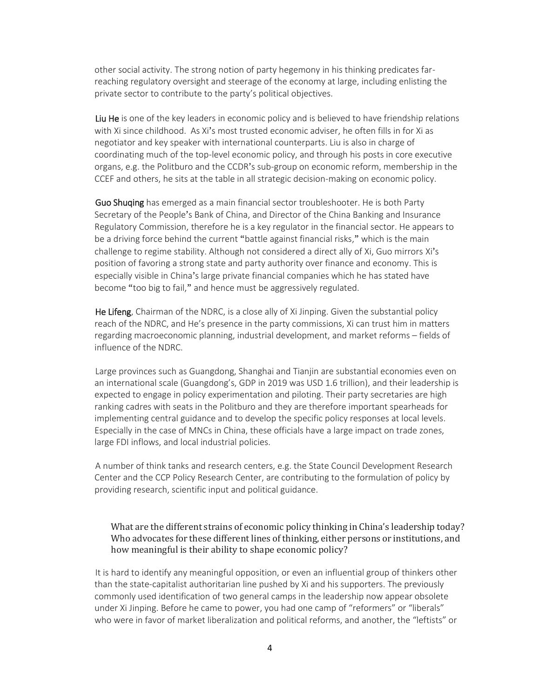other social activity. The strong notion of party hegemony in his thinking predicates farreaching regulatory oversight and steerage of the economy at large, including enlisting the private sector to contribute to the party's political objectives.

Liu He is one of the key leaders in economic policy and is believed to have friendship relations with Xi since childhood. As Xi's most trusted economic adviser, he often fills in for Xi as negotiator and key speaker with international counterparts. Liu is also in charge of coordinating much of the top-level economic policy, and through his posts in core executive organs, e.g. the Politburo and the CCDR's sub-group on economic reform, membership in the CCEF and others, he sits at the table in all strategic decision-making on economic policy.

Guo Shuqing has emerged as a main financial sector troubleshooter. He is both Party Secretary of the People's Bank of China, and Director of the China Banking and Insurance Regulatory Commission, therefore he is a key regulator in the financial sector. He appears to be a driving force behind the current "battle against financial risks," which is the main challenge to regime stability. Although not considered a direct ally of Xi, Guo mirrors Xi's position of favoring a strong state and party authority over finance and economy. This is especially visible in China's large private financial companies which he has stated have become "too big to fail," and hence must be aggressively regulated.

He Lifeng, Chairman of the NDRC, is a close ally of Xi Jinping. Given the substantial policy reach of the NDRC, and He's presence in the party commissions, Xi can trust him in matters regarding macroeconomic planning, industrial development, and market reforms – fields of influence of the NDRC.

Large provinces such as Guangdong, Shanghai and Tianjin are substantial economies even on an international scale (Guangdong's, GDP in 2019 was USD 1.6 trillion), and their leadership is expected to engage in policy experimentation and piloting. Their party secretaries are high ranking cadres with seats in the Politburo and they are therefore important spearheads for implementing central guidance and to develop the specific policy responses at local levels. Especially in the case of MNCs in China, these officials have a large impact on trade zones, large FDI inflows, and local industrial policies.

A number of think tanks and research centers, e.g. the State Council Development Research Center and the CCP Policy Research Center, are contributing to the formulation of policy by providing research, scientific input and political guidance.

# What are the different strains of economic policy thinking in China's leadership today? Who advocates for these different lines of thinking, either persons or institutions, and how meaningful is their ability to shape economic policy?

It is hard to identify any meaningful opposition, or even an influential group of thinkers other than the state-capitalist authoritarian line pushed by Xi and his supporters. The previously commonly used identification of two general camps in the leadership now appear obsolete under Xi Jinping. Before he came to power, you had one camp of "reformers" or "liberals" who were in favor of market liberalization and political reforms, and another, the "leftists" or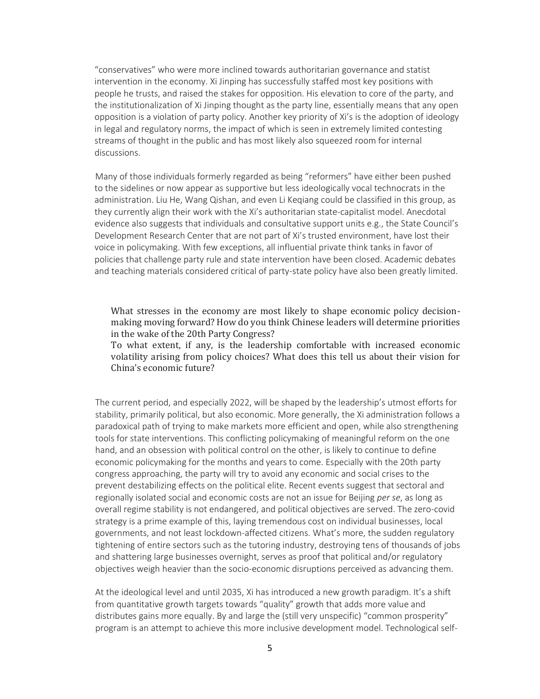"conservatives" who were more inclined towards authoritarian governance and statist intervention in the economy. Xi Jinping has successfully staffed most key positions with people he trusts, and raised the stakes for opposition. His elevation to core of the party, and the institutionalization of Xi Jinping thought as the party line, essentially means that any open opposition is a violation of party policy. Another key priority of Xi's is the adoption of ideology in legal and regulatory norms, the impact of which is seen in extremely limited contesting streams of thought in the public and has most likely also squeezed room for internal discussions.

Many of those individuals formerly regarded as being "reformers" have either been pushed to the sidelines or now appear as supportive but less ideologically vocal technocrats in the administration. Liu He, Wang Qishan, and even Li Keqiang could be classified in this group, as they currently align their work with the Xi's authoritarian state-capitalist model. Anecdotal evidence also suggests that individuals and consultative support units e.g., the State Council's Development Research Center that are not part of Xi's trusted environment, have lost their voice in policymaking. With few exceptions, all influential private think tanks in favor of policies that challenge party rule and state intervention have been closed. Academic debates and teaching materials considered critical of party-state policy have also been greatly limited.

What stresses in the economy are most likely to shape economic policy decisionmaking moving forward? How do you think Chinese leaders will determine priorities in the wake of the 20th Party Congress?

To what extent, if any, is the leadership comfortable with increased economic volatility arising from policy choices? What does this tell us about their vision for China's economic future?

The current period, and especially 2022, will be shaped by the leadership's utmost efforts for stability, primarily political, but also economic. More generally, the Xi administration follows a paradoxical path of trying to make markets more efficient and open, while also strengthening tools for state interventions. This conflicting policymaking of meaningful reform on the one hand, and an obsession with political control on the other, is likely to continue to define economic policymaking for the months and years to come. Especially with the 20th party congress approaching, the party will try to avoid any economic and social crises to the prevent destabilizing effects on the political elite. Recent events suggest that sectoral and regionally isolated social and economic costs are not an issue for Beijing *per se*, as long as overall regime stability is not endangered, and political objectives are served. The zero-covid strategy is a prime example of this, laying tremendous cost on individual businesses, local governments, and not least lockdown-affected citizens. What's more, the sudden regulatory tightening of entire sectors such as the tutoring industry, destroying tens of thousands of jobs and shattering large businesses overnight, serves as proof that political and/or regulatory objectives weigh heavier than the socio-economic disruptions perceived as advancing them.

At the ideological level and until 2035, Xi has introduced a new growth paradigm. It's a shift from quantitative growth targets towards "quality" growth that adds more value and distributes gains more equally. By and large the (still very unspecific) "common prosperity" program is an attempt to achieve this more inclusive development model. Technological self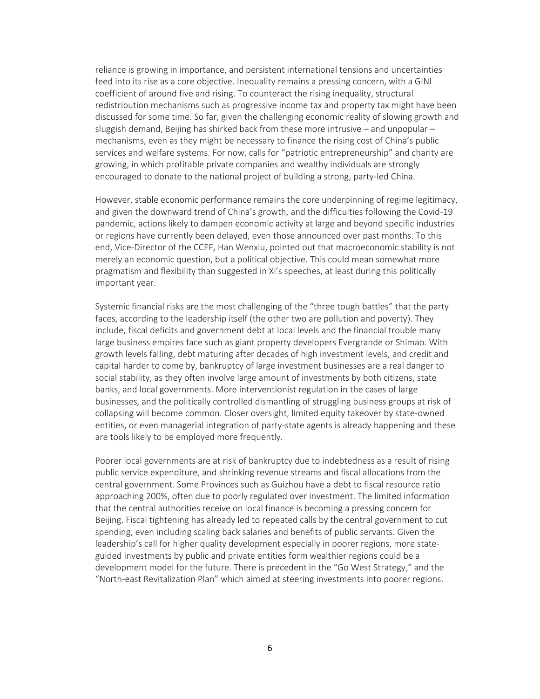reliance is growing in importance, and persistent international tensions and uncertainties feed into its rise as a core objective. Inequality remains a pressing concern, with a GINI coefficient of around five and rising. To counteract the rising inequality, structural redistribution mechanisms such as progressive income tax and property tax might have been discussed for some time. So far, given the challenging economic reality of slowing growth and sluggish demand, Beijing has shirked back from these more intrusive – and unpopular – mechanisms, even as they might be necessary to finance the rising cost of China's public services and welfare systems. For now, calls for "patriotic entrepreneurship" and charity are growing, in which profitable private companies and wealthy individuals are strongly encouraged to donate to the national project of building a strong, party-led China.

However, stable economic performance remains the core underpinning of regime legitimacy, and given the downward trend of China's growth, and the difficulties following the Covid-19 pandemic, actions likely to dampen economic activity at large and beyond specific industries or regions have currently been delayed, even those announced over past months. To this end, Vice-Director of the CCEF, Han Wenxiu, pointed out that macroeconomic stability is not merely an economic question, but a political objective. This could mean somewhat more pragmatism and flexibility than suggested in Xi's speeches, at least during this politically important year.

Systemic financial risks are the most challenging of the "three tough battles" that the party faces, according to the leadership itself (the other two are pollution and poverty). They include, fiscal deficits and government debt at local levels and the financial trouble many large business empires face such as giant property developers Evergrande or Shimao. With growth levels falling, debt maturing after decades of high investment levels, and credit and capital harder to come by, bankruptcy of large investment businesses are a real danger to social stability, as they often involve large amount of investments by both citizens, state banks, and local governments. More interventionist regulation in the cases of large businesses, and the politically controlled dismantling of struggling business groups at risk of collapsing will become common. Closer oversight, limited equity takeover by state-owned entities, or even managerial integration of party-state agents is already happening and these are tools likely to be employed more frequently.

Poorer local governments are at risk of bankruptcy due to indebtedness as a result of rising public service expenditure, and shrinking revenue streams and fiscal allocations from the central government. Some Provinces such as Guizhou have a debt to fiscal resource ratio approaching 200%, often due to poorly regulated over investment. The limited information that the central authorities receive on local finance is becoming a pressing concern for Beijing. Fiscal tightening has already led to repeated calls by the central government to cut spending, even including scaling back salaries and benefits of public servants. Given the leadership's call for higher quality development especially in poorer regions, more stateguided investments by public and private entities form wealthier regions could be a development model for the future. There is precedent in the "Go West Strategy," and the "North-east Revitalization Plan" which aimed at steering investments into poorer regions.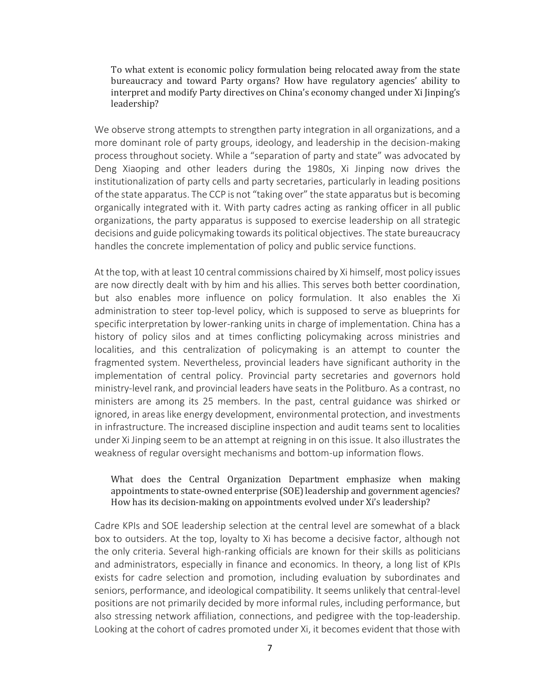To what extent is economic policy formulation being relocated away from the state bureaucracy and toward Party organs? How have regulatory agencies' ability to interpret and modify Party directives on China's economy changed under Xi Jinping's leadership?

We observe strong attempts to strengthen party integration in all organizations, and a more dominant role of party groups, ideology, and leadership in the decision-making process throughout society. While a "separation of party and state" was advocated by Deng Xiaoping and other leaders during the 1980s, Xi Jinping now drives the institutionalization of party cells and party secretaries, particularly in leading positions of the state apparatus. The CCP is not "taking over" the state apparatus but is becoming organically integrated with it. With party cadres acting as ranking officer in all public organizations, the party apparatus is supposed to exercise leadership on all strategic decisions and guide policymaking towards its political objectives. The state bureaucracy handles the concrete implementation of policy and public service functions.

At the top, with at least 10 central commissions chaired by Xi himself, most policy issues are now directly dealt with by him and his allies. This serves both better coordination, but also enables more influence on policy formulation. It also enables the Xi administration to steer top-level policy, which is supposed to serve as blueprints for specific interpretation by lower-ranking units in charge of implementation. China has a history of policy silos and at times conflicting policymaking across ministries and localities, and this centralization of policymaking is an attempt to counter the fragmented system. Nevertheless, provincial leaders have significant authority in the implementation of central policy. Provincial party secretaries and governors hold ministry-level rank, and provincial leaders have seats in the Politburo. As a contrast, no ministers are among its 25 members. In the past, central guidance was shirked or ignored, in areas like energy development, environmental protection, and investments in infrastructure. The increased discipline inspection and audit teams sent to localities under Xi Jinping seem to be an attempt at reigning in on this issue. It also illustrates the weakness of regular oversight mechanisms and bottom-up information flows.

# What does the Central Organization Department emphasize when making appointments to state-owned enterprise (SOE) leadership and government agencies? How has its decision-making on appointments evolved under Xi's leadership?

Cadre KPIs and SOE leadership selection at the central level are somewhat of a black box to outsiders. At the top, loyalty to Xi has become a decisive factor, although not the only criteria. Several high-ranking officials are known for their skills as politicians and administrators, especially in finance and economics. In theory, a long list of KPIs exists for cadre selection and promotion, including evaluation by subordinates and seniors, performance, and ideological compatibility. It seems unlikely that central-level positions are not primarily decided by more informal rules, including performance, but also stressing network affiliation, connections, and pedigree with the top-leadership. Looking at the cohort of cadres promoted under Xi, it becomes evident that those with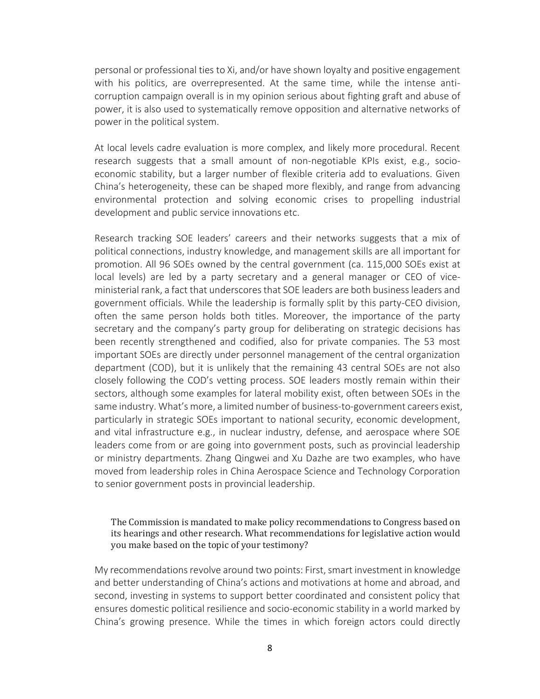personal or professional ties to Xi, and/or have shown loyalty and positive engagement with his politics, are overrepresented. At the same time, while the intense anticorruption campaign overall is in my opinion serious about fighting graft and abuse of power, it is also used to systematically remove opposition and alternative networks of power in the political system.

At local levels cadre evaluation is more complex, and likely more procedural. Recent research suggests that a small amount of non-negotiable KPIs exist, e.g., socioeconomic stability, but a larger number of flexible criteria add to evaluations. Given China's heterogeneity, these can be shaped more flexibly, and range from advancing environmental protection and solving economic crises to propelling industrial development and public service innovations etc.

Research tracking SOE leaders' careers and their networks suggests that a mix of political connections, industry knowledge, and management skills are all important for promotion. All 96 SOEs owned by the central government (ca. 115,000 SOEs exist at local levels) are led by a party secretary and a general manager or CEO of viceministerial rank, a fact that underscores that SOE leaders are both business leaders and government officials. While the leadership is formally split by this party-CEO division, often the same person holds both titles. Moreover, the importance of the party secretary and the company's party group for deliberating on strategic decisions has been recently strengthened and codified, also for private companies. The 53 most important SOEs are directly under personnel management of the central organization department (COD), but it is unlikely that the remaining 43 central SOEs are not also closely following the COD's vetting process. SOE leaders mostly remain within their sectors, although some examples for lateral mobility exist, often between SOEs in the same industry. What's more, a limited number of business-to-government careers exist, particularly in strategic SOEs important to national security, economic development, and vital infrastructure e.g., in nuclear industry, defense, and aerospace where SOE leaders come from or are going into government posts, such as provincial leadership or ministry departments. Zhang Qingwei and Xu Dazhe are two examples, who have moved from leadership roles in China Aerospace Science and Technology Corporation to senior government posts in provincial leadership.

# The Commission is mandated to make policy recommendations to Congress based on its hearings and other research. What recommendations for legislative action would you make based on the topic of your testimony?

My recommendations revolve around two points: First, smart investment in knowledge and better understanding of China's actions and motivations at home and abroad, and second, investing in systems to support better coordinated and consistent policy that ensures domestic political resilience and socio-economic stability in a world marked by China's growing presence. While the times in which foreign actors could directly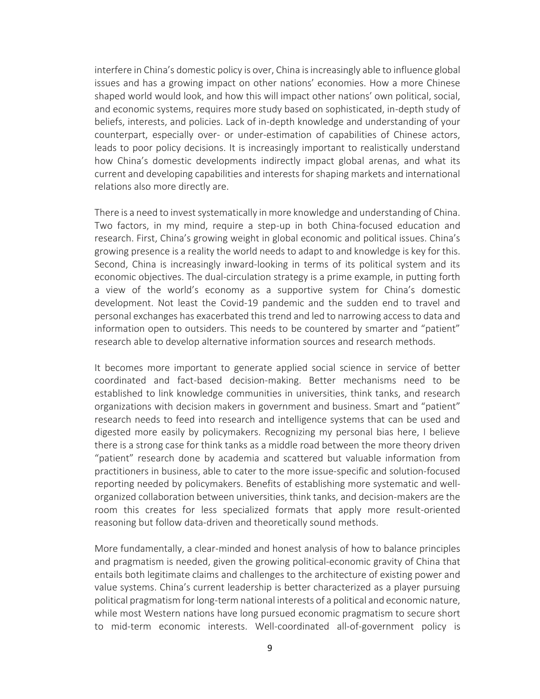interfere in China's domestic policy is over, China is increasingly able to influence global issues and has a growing impact on other nations' economies. How a more Chinese shaped world would look, and how this will impact other nations' own political, social, and economic systems, requires more study based on sophisticated, in-depth study of beliefs, interests, and policies. Lack of in-depth knowledge and understanding of your counterpart, especially over- or under-estimation of capabilities of Chinese actors, leads to poor policy decisions. It is increasingly important to realistically understand how China's domestic developments indirectly impact global arenas, and what its current and developing capabilities and interests for shaping markets and international relations also more directly are.

There is a need to invest systematically in more knowledge and understanding of China. Two factors, in my mind, require a step-up in both China-focused education and research. First, China's growing weight in global economic and political issues. China's growing presence is a reality the world needs to adapt to and knowledge is key for this. Second, China is increasingly inward-looking in terms of its political system and its economic objectives. The dual-circulation strategy is a prime example, in putting forth a view of the world's economy as a supportive system for China's domestic development. Not least the Covid-19 pandemic and the sudden end to travel and personal exchanges has exacerbated this trend and led to narrowing access to data and information open to outsiders. This needs to be countered by smarter and "patient" research able to develop alternative information sources and research methods.

It becomes more important to generate applied social science in service of better coordinated and fact-based decision-making. Better mechanisms need to be established to link knowledge communities in universities, think tanks, and research organizations with decision makers in government and business. Smart and "patient" research needs to feed into research and intelligence systems that can be used and digested more easily by policymakers. Recognizing my personal bias here, I believe there is a strong case for think tanks as a middle road between the more theory driven "patient" research done by academia and scattered but valuable information from practitioners in business, able to cater to the more issue-specific and solution-focused reporting needed by policymakers. Benefits of establishing more systematic and wellorganized collaboration between universities, think tanks, and decision-makers are the room this creates for less specialized formats that apply more result-oriented reasoning but follow data-driven and theoretically sound methods.

More fundamentally, a clear-minded and honest analysis of how to balance principles and pragmatism is needed, given the growing political-economic gravity of China that entails both legitimate claims and challenges to the architecture of existing power and value systems. China's current leadership is better characterized as a player pursuing political pragmatism for long-term national interests of a political and economic nature, while most Western nations have long pursued economic pragmatism to secure short to mid-term economic interests. Well-coordinated all-of-government policy is